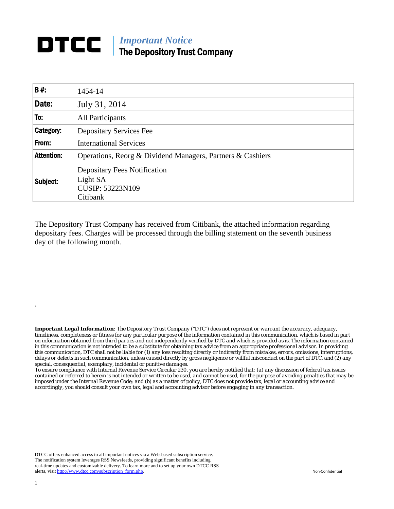## **DTCC** | *Important Notice* The Depository Trust Company

| <b>B#:</b>        | 1454-14                                                                                |  |  |  |
|-------------------|----------------------------------------------------------------------------------------|--|--|--|
| Date:             | July 31, 2014                                                                          |  |  |  |
| To:               | All Participants                                                                       |  |  |  |
| Category:         | <b>Depositary Services Fee</b>                                                         |  |  |  |
| From:             | <b>International Services</b>                                                          |  |  |  |
| <b>Attention:</b> | Operations, Reorg & Dividend Managers, Partners & Cashiers                             |  |  |  |
| Subject:          | <b>Depositary Fees Notification</b><br>Light SA<br><b>CUSIP: 53223N109</b><br>Citibank |  |  |  |

The Depository Trust Company has received from Citibank, the attached information regarding depositary fees. Charges will be processed through the billing statement on the seventh business day of the following month.

*Important Legal Information: The Depository Trust Company ("DTC") does not represent or warrant the accuracy, adequacy, timeliness, completeness or fitness for any particular purpose of the information contained in this communication, which is based in part on information obtained from third parties and not independently verified by DTC and which is provided as is. The information contained in this communication is not intended to be a substitute for obtaining tax advice from an appropriate professional advisor. In providing this communication, DTC shall not be liable for (1) any loss resulting directly or indirectly from mistakes, errors, omissions, interruptions, delays or defects in such communication, unless caused directly by gross negligence or willful misconduct on the part of DTC, and (2) any special, consequential, exemplary, incidental or punitive damages.* 

*To ensure compliance with Internal Revenue Service Circular 230, you are hereby notified that: (a) any discussion of federal tax issues contained or referred to herein is not intended or written to be used, and cannot be used, for the purpose of avoiding penalties that may be imposed under the Internal Revenue Code; and (b) as a matter of policy, DTC does not provide tax, legal or accounting advice and accordingly, you should consult your own tax, legal and accounting advisor before engaging in any transaction.*

DTCC offers enhanced access to all important notices via a Web-based subscription service. The notification system leverages RSS Newsfeeds, providing significant benefits including real-time updates and customizable delivery. To learn more and to set up your own DTCC RSS alerts, visit http://www.dtcc.com/subscription\_form.php. Non-Confidential

.